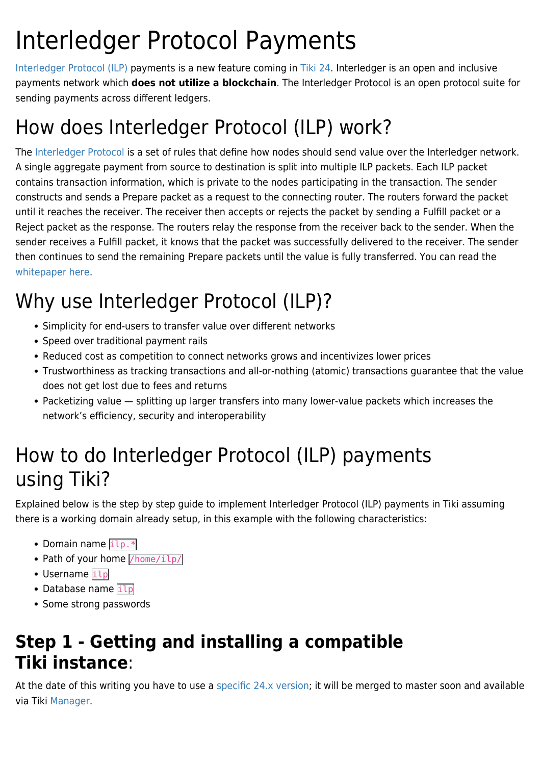# Interledger Protocol Payments

[Interledger Protocol \(ILP\)](https://interledger.org/) payments is a new feature coming in [Tiki 24.](https://doc.tiki.org/Tiki24) Interledger is an open and inclusive payments network which **does not utilize a blockchain**. The Interledger Protocol is an open protocol suite for sending payments across different ledgers.

## How does Interledger Protocol (ILP) work?

The [Interledger Protocol](https://interledger.org/rfcs/0027-interledger-protocol-4/) is a set of rules that define how nodes should send value over the Interledger network. A single aggregate payment from source to destination is split into multiple ILP packets. Each ILP packet contains transaction information, which is private to the nodes participating in the transaction. The sender constructs and sends a Prepare packet as a request to the connecting router. The routers forward the packet until it reaches the receiver. The receiver then accepts or rejects the packet by sending a Fulfill packet or a Reject packet as the response. The routers relay the response from the receiver back to the sender. When the sender receives a Fulfill packet, it knows that the packet was successfully delivered to the receiver. The sender then continues to send the remaining Prepare packets until the value is fully transferred. You can read the [whitepaper here.](https://interledger.org/uploads/interledger.pdf)

## Why use Interledger Protocol (ILP)?

- Simplicity for end-users to transfer value over different networks
- Speed over traditional payment rails
- Reduced cost as competition to connect networks grows and incentivizes lower prices
- Trustworthiness as tracking transactions and all-or-nothing (atomic) transactions guarantee that the value does not get lost due to fees and returns
- Packetizing value splitting up larger transfers into many lower-value packets which increases the network's efficiency, security and interoperability

## How to do Interledger Protocol (ILP) payments using Tiki?

Explained below is the step by step guide to implement Interledger Protocol (ILP) payments in Tiki assuming there is a working domain already setup, in this example with the following characteristics:

- Domain name  $\frac{1}{1}$
- Path of your home  $/home/ilp/$
- Username ilp
- Database name  $\frac{1}{1}$
- Some strong passwords

### **Step 1 - Getting and installing a compatible Tiki instance**:

At the date of this writing you have to use a [specific 24.x version](https://gitlab.com/tikiwiki/tiki/-/merge_requests/837); it will be merged to master soon and available via Tiki [Manager.](https://doc.tiki.org/Manager)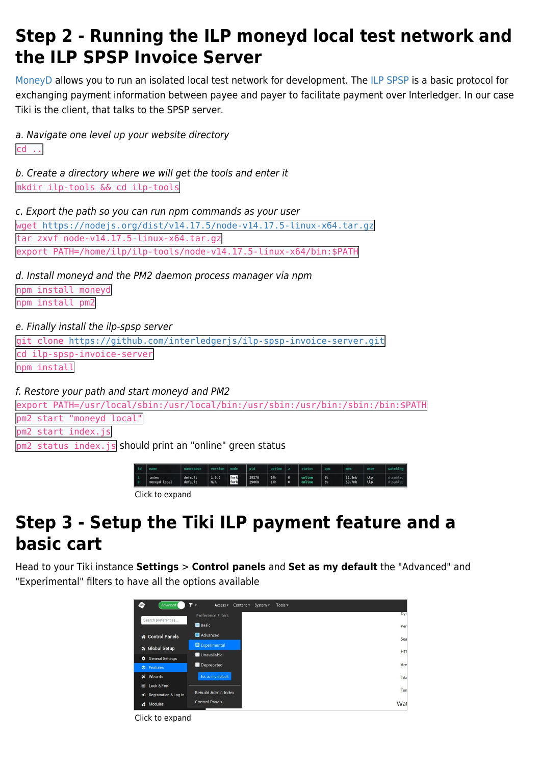### **Step 2 - Running the ILP moneyd local test network and the ILP SPSP Invoice Server**

[MoneyD](https://github.com/interledgerjs/moneyd) allows you to run an isolated local test network for development. The [ILP SPSP](https://github.com/interledgerjs/ilp-spsp-server) is a basic protocol for exchanging payment information between payee and payer to facilitate payment over Interledger. In our case Tiki is the client, that talks to the SPSP server.

a. Navigate one level up your website directory cd ..

b. Create a directory where we will get the tools and enter it mkdir ilp-tools && cd ilp-tools

c. Export the path so you can run npm commands as your user

wget <https://nodejs.org/dist/v14.17.5/node-v14.17.5-linux-x64.tar.gz> tar zxvf node-v14.17.5-linux-x64.tar.gz export PATH=/home/ilp/ilp-tools/node-v14.17.5-linux-x64/bin:\$PATH

d. Install moneyd and the PM2 daemon process manager via npm

npm install moneyd npm install pm2

e. Finally install the ilp-spsp server

git clone <https://github.com/interledgerjs/ilp-spsp-invoice-server.git> cd ilp-spsp-invoice-server

npm install

f. Restore your path and start moneyd and PM2

export PATH=/usr/local/sbin:/usr/local/bin:/usr/sbin:/usr/bin:/sbin:/bin:\$PATH pm2 start "moneyd local" pm2 start index.js

pm2 status index.js should print an "online" green status

| td | name                  | namespace          | version mode |              | bid <sup>1</sup> | uptime d   |                  | status           | cpu                  | mem              | user       |                      |
|----|-----------------------|--------------------|--------------|--------------|------------------|------------|------------------|------------------|----------------------|------------------|------------|----------------------|
|    | index<br>moneyd local | default<br>default | 1.0.2<br>N/A | fork<br>fork | 29276<br>29068   | 14h<br>14h | $\bullet$<br>∣ 0 | online<br>online | 0 <sup>o</sup><br>0% | 81.9mb<br>69.7mb | ilp<br>ilp | disabled<br>disabled |
|    |                       |                    |              |              |                  |            |                  |                  |                      |                  |            |                      |

#### Click to expand

### **Step 3 - Setup the Tiki ILP payment feature and a basic cart**

Head to your Tiki instance **Settings** > **Control panels** and **Set as my default** the "Advanced" and "Experimental" filters to have all the options available

| ⊕<br>Advanced                       | Y<br>System -<br>Tools $\blacktriangledown$<br>Access -<br>Content $\sim$<br>$\overline{\phantom{a}}$ |      |
|-------------------------------------|-------------------------------------------------------------------------------------------------------|------|
| Search preferences                  | Preference Filters                                                                                    | Dyr  |
|                                     | <b>Basic</b>                                                                                          | Per  |
| Control Panels                      | Advanced                                                                                              | Sea  |
| <b>※ Global Setup</b>               | Experimental                                                                                          |      |
| <b>General Settings</b><br>٠        | Unavailable                                                                                           | HT   |
| <b>U</b> Features                   | Deprecated                                                                                            | Are  |
| Ð.<br>Wizards                       | Set as my default                                                                                     | Tiki |
| Look & Feel<br>$\blacksquare$       |                                                                                                       | Terl |
| Registration & Log in<br>$\bigstar$ | <b>Rebuild Admin Index</b>                                                                            |      |
| Modules<br>÷                        | <b>Control Panels</b>                                                                                 | Wat  |

Click to expand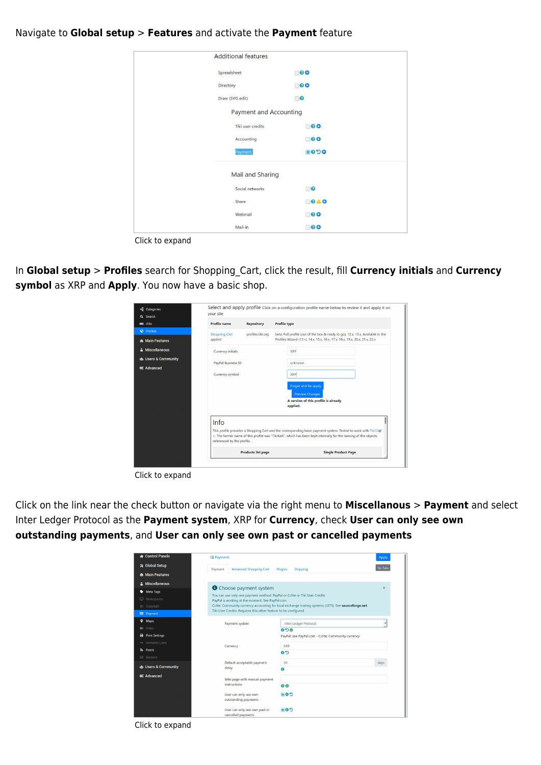#### Navigate to **Global setup** > **Features** and activate the **Payment** feature

| <b>Additional features</b>    |                |
|-------------------------------|----------------|
| Spreadsheet                   | $\blacksquare$ |
| Directory                     | $\blacksquare$ |
| Draw (SVG edit)               | $\Box$         |
| <b>Payment and Accounting</b> |                |
| Tiki user credits             | $\Box$ 00      |
| Accounting                    | $\Box$ 00      |
| Payment                       | 8990           |
| Mail and Sharing              |                |
| Social networks               | $\Box$         |
| Share                         | OAO            |
| Webmail                       | $\Box$ 00      |
| Mail-in                       | $\Box$ 00      |

In **Global setup** > **Profiles** search for Shopping\_Cart, click the result, fill **Currency initials** and **Currency symbol** as XRP and **Apply**. You now have a basic shop.

| <sup>-</sup> E Categories<br>Q Search       | vour site                             |                           | Select and apply profile Click on a configuration profile name below to review it and apply it on                                                                                                                                |
|---------------------------------------------|---------------------------------------|---------------------------|----------------------------------------------------------------------------------------------------------------------------------------------------------------------------------------------------------------------------------|
| <b>DE</b> 118n                              | <b>Profile</b> name                   | <b>Repository</b>         | <b>Profile type</b>                                                                                                                                                                                                              |
| <b>Ø</b> Profiles<br><b>A</b> Main Features | Shopping_Cart<br>applied              | profiles.tiki.org         | beta, Full profile (out of the box & ready to go), 12.x, 13.x, Available in the<br>Profiles Wizard (12+), 14.x, 15.x, 16.x, 17.x, 18.x, 19.x, 20.x, 21.x, 22.x                                                                   |
| A Miscellaneous<br>to Users & Community     | Currency initials                     |                           | <b>XRP</b>                                                                                                                                                                                                                       |
| <b>Φ</b> <sup>2</sup> Advanced              | PayPal Business ID<br>Currency symbol |                           | unknown<br><b>XRP</b>                                                                                                                                                                                                            |
|                                             |                                       |                           | Forget and Re-apply<br><b>Preview Changes</b><br>A version of this profile is already<br>applied.                                                                                                                                |
|                                             | Info                                  |                           |                                                                                                                                                                                                                                  |
|                                             | referenced by the profile.            |                           | This profile provides a Shopping Cart and the corresponding basic payment system. Tested to work with Tiki12g<br>+. The former name of this profile was "TikiKart", which has been kept internally for the naming of the objects |
|                                             |                                       | <b>Products list page</b> | <b>Single Product Page</b>                                                                                                                                                                                                       |
|                                             |                                       |                           |                                                                                                                                                                                                                                  |

Click to expand

Click on the link near the check button or navigate via the right menu to **Miscellanous** > **Payment** and select Inter Ledger Protocol as the **Payment system**, XRP for **Currency**, check **User can only see own outstanding payments**, and **User can only see own past or cancelled payments**

| Control Panels                 | <b>E</b> Payments                                                                                                             |                                                                                                      | Apply    |
|--------------------------------|-------------------------------------------------------------------------------------------------------------------------------|------------------------------------------------------------------------------------------------------|----------|
| <b>X</b> Global Setup          | <b>Advanced Shopping Cart</b><br>Payment                                                                                      | Plugins<br>Shipping                                                                                  | No Tabs  |
| <b>A</b> Main Features         |                                                                                                                               |                                                                                                      |          |
| A Miscellaneous                |                                                                                                                               |                                                                                                      | $\times$ |
| Meta Tags<br>ູ                 | <b>O</b> Choose payment system                                                                                                |                                                                                                      |          |
| Workspaces<br>▭                | You can use only one payment method: PayPal or Cclite or Tiki User Credits<br>PayPal is working at the moment. See PayPal.com |                                                                                                      |          |
| Copyright<br>⊙                 |                                                                                                                               | Cclite: Community currency accounting for local exchange trading systems (LETS). See sourceforge.net |          |
| <b>Ed</b> Payment              | Tiki User Credits: Requires this other feature to be configured                                                               |                                                                                                      |          |
| Maps<br>۰                      | Payment system                                                                                                                | Inter Ledger Protocol                                                                                |          |
| <b>III</b> Video               |                                                                                                                               | 0.50                                                                                                 |          |
| <b>Print Settings</b><br>e     |                                                                                                                               | PayPal: see PayPal.com - Cclite: Community currency                                                  |          |
| ← Semantic Links               |                                                                                                                               |                                                                                                      |          |
| <b>R</b> Feeds                 | Currency                                                                                                                      | <b>XRP</b><br><b>CD</b>                                                                              |          |
| <b>El</b> Banners              |                                                                                                                               |                                                                                                      |          |
|                                | Default acceptable payment                                                                                                    | 30                                                                                                   | days     |
| to Users & Community           | delay                                                                                                                         | 0                                                                                                    |          |
| <b>Φ</b> <sup>2</sup> Advanced | Wiki page with manual payment                                                                                                 |                                                                                                      |          |
|                                | instructions                                                                                                                  | $\bullet$                                                                                            |          |
|                                | User can only see own<br>outstanding payments                                                                                 | <b>COM</b>                                                                                           |          |
|                                | User can only see own past or<br>cancelled payments                                                                           | ■0り                                                                                                  |          |

Click to expand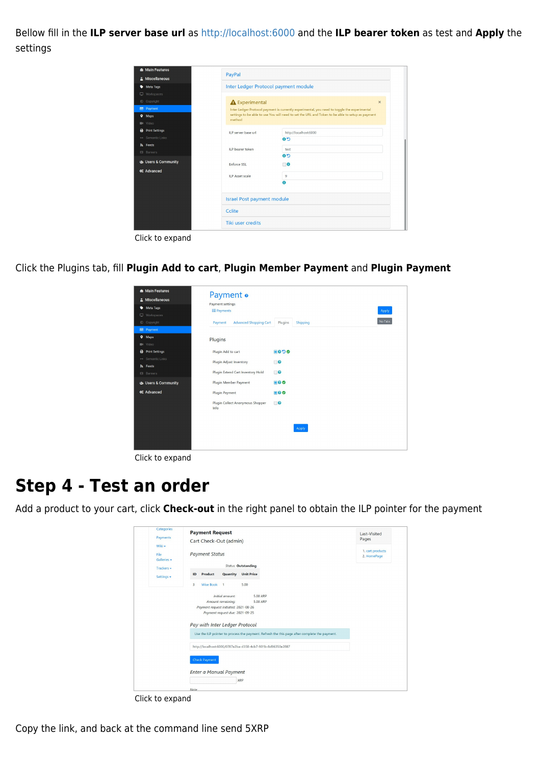Bellow fill in the **ILP server base url** as [http://localhost:6000](#page--1-0) and the **ILP bearer token** as test and **Apply** the settings

| △ Miscellaneous                    | PayPal                            |                                                                                                                                                                                                  |  |
|------------------------------------|-----------------------------------|--------------------------------------------------------------------------------------------------------------------------------------------------------------------------------------------------|--|
| Meta Tags                          |                                   | Inter Ledger Protocol payment module                                                                                                                                                             |  |
| Workspaces<br>C Copyright          | <b>A</b> Experimental             | $\times$                                                                                                                                                                                         |  |
| <b>Ed</b> Payment<br><b>Q</b> Maps |                                   | Inter Ledger Protocol payment is currently experimental, you need to toggle the experimental<br>settings to be able to use You will need to set the URL and Token to be able to setup as payment |  |
| <b>EI</b> Video                    | method                            |                                                                                                                                                                                                  |  |
| <b>B</b> Print Settings            | ILP server base url               | http://localhost:6000                                                                                                                                                                            |  |
| ← Semantic Links                   |                                   | C <sub>o</sub>                                                                                                                                                                                   |  |
| <b>A</b> Feeds                     | ILP bearer token                  | test                                                                                                                                                                                             |  |
| <b>EB</b> Banners                  |                                   | C <sub>o</sub>                                                                                                                                                                                   |  |
| to Users & Community               | <b>Enforce SSL</b>                | $\Box$                                                                                                                                                                                           |  |
| <b>¢</b> & Advanced                | <b>ILP Asset scale</b>            | 9                                                                                                                                                                                                |  |
|                                    |                                   | $\bullet$                                                                                                                                                                                        |  |
|                                    | <b>Israel Post payment module</b> |                                                                                                                                                                                                  |  |
|                                    | Cclite                            |                                                                                                                                                                                                  |  |
|                                    | Tiki user credits                 |                                                                                                                                                                                                  |  |

Click to expand

Click the Plugins tab, fill **Plugin Add to cart**, **Plugin Member Payment** and **Plugin Payment**

| <b>A</b> Main Features<br>A Miscellaneous<br>Meta Tags<br>Workspaces                                                              | Payment o<br>Payment settings<br><b>IE</b> Payments                                |                                | Apply |
|-----------------------------------------------------------------------------------------------------------------------------------|------------------------------------------------------------------------------------|--------------------------------|-------|
| C Copyright<br><b>E</b> Payment<br><b>9</b> Maps                                                                                  | <b>Advanced Shopping Cart</b><br>Payment<br>Plugins                                | No Tabs<br>Plugins<br>Shipping |       |
| <b>E</b> <sup>t</sup> Video<br><b>B</b> Print Settings<br>$\leftrightarrow$ Semantic Links<br><b>S</b> Feeds<br><b>EB</b> Banners | Plugin Add to cart<br>Plugin Adjust Inventory<br>Plugin Extend Cart Inventory Hold | 8098<br>$\Box$<br>$\Box$       |       |
| to Users & Community<br><b>C</b> Advanced                                                                                         | Plugin Member Payment<br><b>Plugin Payment</b><br>Plugin Collect Anonymous Shopper | 80<br>80<br>$\Box$             |       |
|                                                                                                                                   | Info                                                                               | Apply                          |       |

Click to expand

### **Step 4 - Test an order**

Add a product to your cart, click **Check-out** in the right panel to obtain the ILP pointer for the payment

| Categories<br>Payments        | <b>Payment Request</b>                                                                                                                                                     | Last-Visited<br>Pages           |
|-------------------------------|----------------------------------------------------------------------------------------------------------------------------------------------------------------------------|---------------------------------|
| Wiki -<br>File<br>Galleries - | Cart Check-Out (admin)<br><b>Payment Status</b>                                                                                                                            | 1. cart products<br>2. HomePage |
| Trackers -                    | <b>Status: Outstanding</b><br><b>Product</b><br>Quantity<br><b>Unit Price</b><br>ID                                                                                        |                                 |
| Settings -                    | Wise Book 1<br>5.00<br>3                                                                                                                                                   |                                 |
|                               | Initial amount:<br>5.00 XRP<br>Amount remaining:<br>5.00 XRP<br>Payment request initiated: 2021-08-26<br>Payment request due: 2021-09-25<br>Pay with Inter Ledger Protocol |                                 |
|                               | Use the ILP pointer to process the payment. Refresh the this page after complete the payment.<br>http://localhost:6000/0787e2ba-d358-4cb7-901b-8d96350e2887                |                                 |
|                               | <b>Check Payment</b>                                                                                                                                                       |                                 |
|                               | <b>Enter a Manual Payment</b><br><b>XRP</b>                                                                                                                                |                                 |
|                               | Note                                                                                                                                                                       |                                 |

Click to expand

Copy the link, and back at the command line send 5XRP